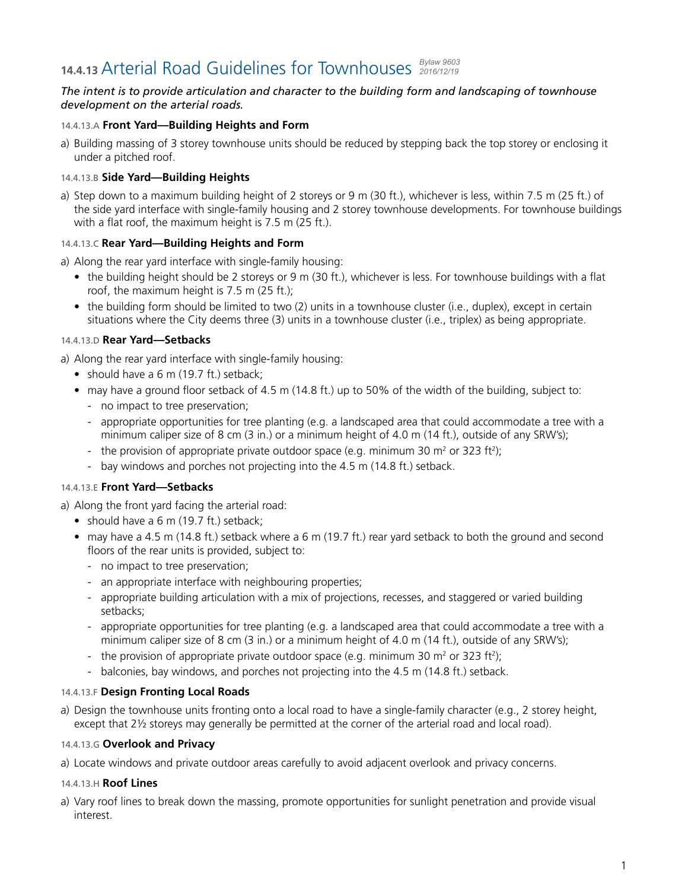#### **14.4.13** Arterial Road Guidelines for Townhouses *Bylaw 9603 2016/12/19*

## *The intent is to provide articulation and character to the building form and landscaping of townhouse development on the arterial roads.*

## 14.4.13.A **Front Yard—Building Heights and Form**

a) Building massing of 3 storey townhouse units should be reduced by stepping back the top storey or enclosing it under a pitched roof.

## 14.4.13.B **Side Yard—Building Heights**

a) Step down to a maximum building height of 2 storeys or 9 m (30 ft.), whichever is less, within 7.5 m (25 ft.) of the side yard interface with single-family housing and 2 storey townhouse developments. For townhouse buildings with a flat roof, the maximum height is  $7.5$  m (25 ft.).

## 14.4.13.C **Rear Yard—Building Heights and Form**

- a) Along the rear yard interface with single-family housing:
	- the building height should be 2 storeys or 9 m (30 ft.), whichever is less. For townhouse buildings with a flat roof, the maximum height is 7.5 m (25 ft.);
	- the building form should be limited to two (2) units in a townhouse cluster (i.e., duplex), except in certain situations where the City deems three (3) units in a townhouse cluster (i.e., triplex) as being appropriate.

# 14.4.13.D **Rear Yard—Setbacks**

a) Along the rear yard interface with single-family housing:

- should have a 6 m (19.7 ft.) setback;
- may have a ground floor setback of 4.5 m (14.8 ft.) up to 50% of the width of the building, subject to:
	- no impact to tree preservation;
	- appropriate opportunities for tree planting (e.g. a landscaped area that could accommodate a tree with a minimum caliper size of 8 cm (3 in.) or a minimum height of 4.0 m (14 ft.), outside of any SRW's);
	- the provision of appropriate private outdoor space (e.g. minimum 30  $\text{m}^2$  or 323 ft<sup>2</sup>);
	- bay windows and porches not projecting into the 4.5 m (14.8 ft.) setback.

### 14.4.13.E **Front Yard—Setbacks**

a) Along the front yard facing the arterial road:

- should have a 6 m (19.7 ft.) setback;
- may have a 4.5 m (14.8 ft.) setback where a 6 m (19.7 ft.) rear yard setback to both the ground and second floors of the rear units is provided, subject to:
	- no impact to tree preservation;
	- an appropriate interface with neighbouring properties;
	- appropriate building articulation with a mix of projections, recesses, and staggered or varied building setbacks;
	- appropriate opportunities for tree planting (e.g. a landscaped area that could accommodate a tree with a minimum caliper size of 8 cm (3 in.) or a minimum height of 4.0 m (14 ft.), outside of any SRW's);
	- the provision of appropriate private outdoor space (e.g. minimum 30  $\mathrm{m}^2$  or 323 ft<sup>2</sup>);
	- balconies, bay windows, and porches not projecting into the 4.5 m (14.8 ft.) setback.

## 14.4.13.F **Design Fronting Local Roads**

a) Design the townhouse units fronting onto a local road to have a single-family character (e.g., 2 storey height, except that 2<sup>1</sup>/<sub>2</sub> storeys may generally be permitted at the corner of the arterial road and local road).

### 14.4.13.G **Overlook and Privacy**

a) Locate windows and private outdoor areas carefully to avoid adjacent overlook and privacy concerns.

#### 14.4.13.H **Roof Lines**

a) Vary roof lines to break down the massing, promote opportunities for sunlight penetration and provide visual interest.